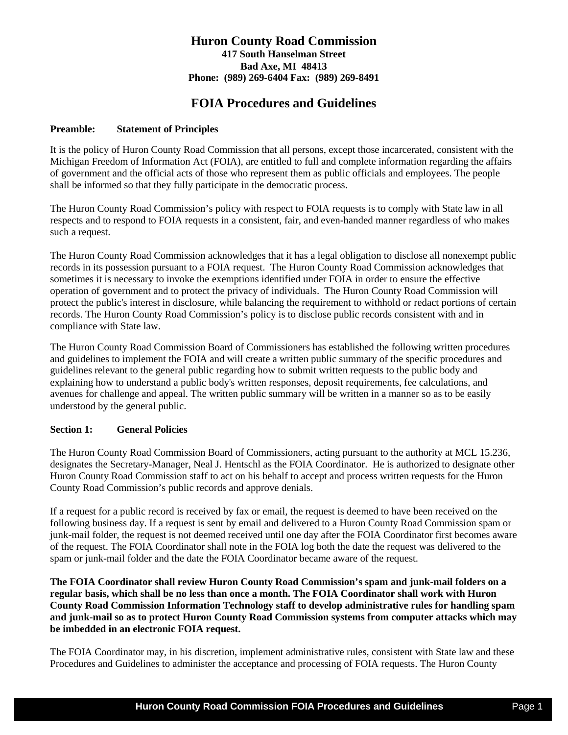# **Huron County Road Commission 417 South Hanselman Street Bad Axe, MI 48413 Phone: (989) 269-6404 Fax: (989) 269-8491**

# **FOIA Procedures and Guidelines**

## **Preamble: Statement of Principles**

It is the policy of Huron County Road Commission that all persons, except those incarcerated, consistent with the Michigan Freedom of Information Act (FOIA), are entitled to full and complete information regarding the affairs of government and the official acts of those who represent them as public officials and employees. The people shall be informed so that they fully participate in the democratic process.

The Huron County Road Commission's policy with respect to FOIA requests is to comply with State law in all respects and to respond to FOIA requests in a consistent, fair, and even-handed manner regardless of who makes such a request.

The Huron County Road Commission acknowledges that it has a legal obligation to disclose all nonexempt public records in its possession pursuant to a FOIA request. The Huron County Road Commission acknowledges that sometimes it is necessary to invoke the exemptions identified under FOIA in order to ensure the effective operation of government and to protect the privacy of individuals. The Huron County Road Commission will protect the public's interest in disclosure, while balancing the requirement to withhold or redact portions of certain records. The Huron County Road Commission's policy is to disclose public records consistent with and in compliance with State law.

The Huron County Road Commission Board of Commissioners has established the following written procedures and guidelines to implement the FOIA and will create a written public summary of the specific procedures and guidelines relevant to the general public regarding how to submit written requests to the public body and explaining how to understand a public body's written responses, deposit requirements, fee calculations, and avenues for challenge and appeal. The written public summary will be written in a manner so as to be easily understood by the general public.

# **Section 1: General Policies**

The Huron County Road Commission Board of Commissioners, acting pursuant to the authority at MCL 15.236, designates the Secretary-Manager, Neal J. Hentschl as the FOIA Coordinator. He is authorized to designate other Huron County Road Commission staff to act on his behalf to accept and process written requests for the Huron County Road Commission's public records and approve denials.

If a request for a public record is received by fax or email, the request is deemed to have been received on the following business day. If a request is sent by email and delivered to a Huron County Road Commission spam or junk-mail folder, the request is not deemed received until one day after the FOIA Coordinator first becomes aware of the request. The FOIA Coordinator shall note in the FOIA log both the date the request was delivered to the spam or junk-mail folder and the date the FOIA Coordinator became aware of the request.

**The FOIA Coordinator shall review Huron County Road Commission's spam and junk-mail folders on a regular basis, which shall be no less than once a month. The FOIA Coordinator shall work with Huron County Road Commission Information Technology staff to develop administrative rules for handling spam and junk-mail so as to protect Huron County Road Commission systems from computer attacks which may be imbedded in an electronic FOIA request.**

The FOIA Coordinator may, in his discretion, implement administrative rules, consistent with State law and these Procedures and Guidelines to administer the acceptance and processing of FOIA requests. The Huron County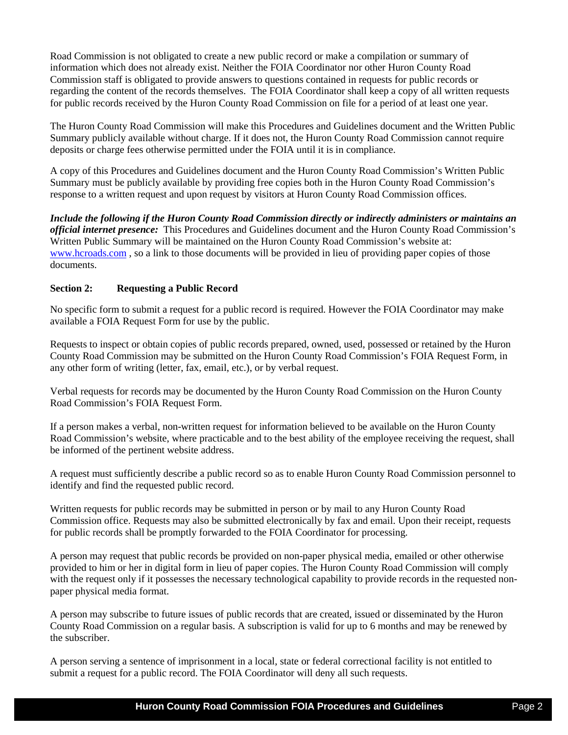Road Commission is not obligated to create a new public record or make a compilation or summary of information which does not already exist. Neither the FOIA Coordinator nor other Huron County Road Commission staff is obligated to provide answers to questions contained in requests for public records or regarding the content of the records themselves. The FOIA Coordinator shall keep a copy of all written requests for public records received by the Huron County Road Commission on file for a period of at least one year.

The Huron County Road Commission will make this Procedures and Guidelines document and the Written Public Summary publicly available without charge. If it does not, the Huron County Road Commission cannot require deposits or charge fees otherwise permitted under the FOIA until it is in compliance.

A copy of this Procedures and Guidelines document and the Huron County Road Commission's Written Public Summary must be publicly available by providing free copies both in the Huron County Road Commission's response to a written request and upon request by visitors at Huron County Road Commission offices.

*Include the following if the Huron County Road Commission directly or indirectly administers or maintains an official internet presence:* This Procedures and Guidelines document and the Huron County Road Commission's Written Public Summary will be maintained on the Huron County Road Commission's website at: [www.hcroads.com](http://www.hcroads.com/) , so a link to those documents will be provided in lieu of providing paper copies of those documents.

# **Section 2: Requesting a Public Record**

No specific form to submit a request for a public record is required. However the FOIA Coordinator may make available a FOIA Request Form for use by the public.

Requests to inspect or obtain copies of public records prepared, owned, used, possessed or retained by the Huron County Road Commission may be submitted on the Huron County Road Commission's FOIA Request Form, in any other form of writing (letter, fax, email, etc.), or by verbal request.

Verbal requests for records may be documented by the Huron County Road Commission on the Huron County Road Commission's FOIA Request Form.

If a person makes a verbal, non-written request for information believed to be available on the Huron County Road Commission's website, where practicable and to the best ability of the employee receiving the request, shall be informed of the pertinent website address.

A request must sufficiently describe a public record so as to enable Huron County Road Commission personnel to identify and find the requested public record.

Written requests for public records may be submitted in person or by mail to any Huron County Road Commission office. Requests may also be submitted electronically by fax and email. Upon their receipt, requests for public records shall be promptly forwarded to the FOIA Coordinator for processing.

A person may request that public records be provided on non-paper physical media, emailed or other otherwise provided to him or her in digital form in lieu of paper copies. The Huron County Road Commission will comply with the request only if it possesses the necessary technological capability to provide records in the requested nonpaper physical media format.

A person may subscribe to future issues of public records that are created, issued or disseminated by the Huron County Road Commission on a regular basis. A subscription is valid for up to 6 months and may be renewed by the subscriber.

A person serving a sentence of imprisonment in a local, state or federal correctional facility is not entitled to submit a request for a public record. The FOIA Coordinator will deny all such requests.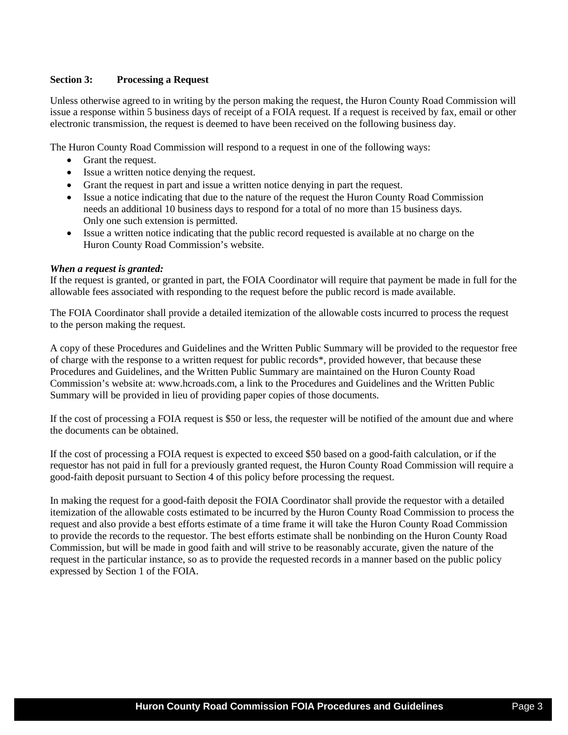## **Section 3: Processing a Request**

Unless otherwise agreed to in writing by the person making the request, the Huron County Road Commission will issue a response within 5 business days of receipt of a FOIA request. If a request is received by fax, email or other electronic transmission, the request is deemed to have been received on the following business day.

The Huron County Road Commission will respond to a request in one of the following ways:

- Grant the request.
- Issue a written notice denying the request.
- Grant the request in part and issue a written notice denying in part the request.
- Issue a notice indicating that due to the nature of the request the Huron County Road Commission needs an additional 10 business days to respond for a total of no more than 15 business days. Only one such extension is permitted.
- Issue a written notice indicating that the public record requested is available at no charge on the Huron County Road Commission's website.

#### *When a request is granted:*

If the request is granted, or granted in part, the FOIA Coordinator will require that payment be made in full for the allowable fees associated with responding to the request before the public record is made available.

The FOIA Coordinator shall provide a detailed itemization of the allowable costs incurred to process the request to the person making the request.

A copy of these Procedures and Guidelines and the Written Public Summary will be provided to the requestor free of charge with the response to a written request for public records\*, provided however, that because these Procedures and Guidelines, and the Written Public Summary are maintained on the Huron County Road Commission's website at: www.hcroads.com, a link to the Procedures and Guidelines and the Written Public Summary will be provided in lieu of providing paper copies of those documents.

If the cost of processing a FOIA request is \$50 or less, the requester will be notified of the amount due and where the documents can be obtained.

If the cost of processing a FOIA request is expected to exceed \$50 based on a good-faith calculation, or if the requestor has not paid in full for a previously granted request, the Huron County Road Commission will require a good-faith deposit pursuant to Section 4 of this policy before processing the request.

In making the request for a good-faith deposit the FOIA Coordinator shall provide the requestor with a detailed itemization of the allowable costs estimated to be incurred by the Huron County Road Commission to process the request and also provide a best efforts estimate of a time frame it will take the Huron County Road Commission to provide the records to the requestor. The best efforts estimate shall be nonbinding on the Huron County Road Commission, but will be made in good faith and will strive to be reasonably accurate, given the nature of the request in the particular instance, so as to provide the requested records in a manner based on the public policy expressed by Section 1 of the FOIA.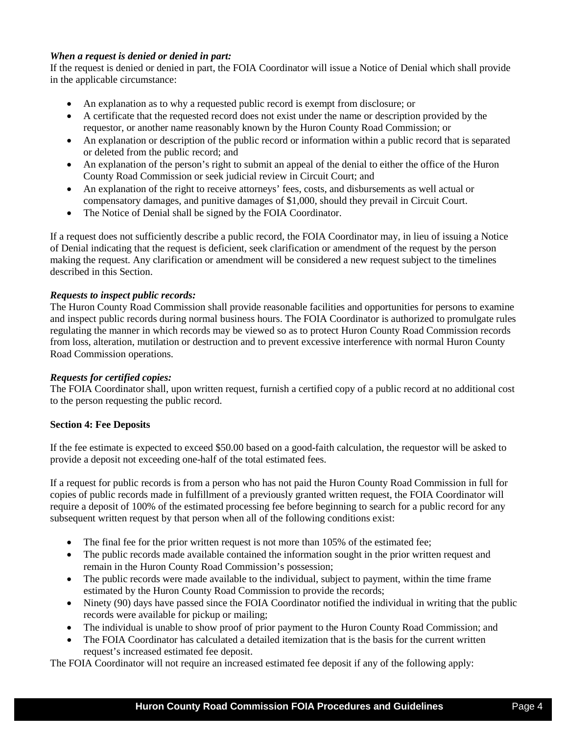# *When a request is denied or denied in part:*

If the request is denied or denied in part, the FOIA Coordinator will issue a Notice of Denial which shall provide in the applicable circumstance:

- An explanation as to why a requested public record is exempt from disclosure; or
- A certificate that the requested record does not exist under the name or description provided by the requestor, or another name reasonably known by the Huron County Road Commission; or
- An explanation or description of the public record or information within a public record that is separated or deleted from the public record; and
- An explanation of the person's right to submit an appeal of the denial to either the office of the Huron County Road Commission or seek judicial review in Circuit Court; and
- An explanation of the right to receive attorneys' fees, costs, and disbursements as well actual or compensatory damages, and punitive damages of \$1,000, should they prevail in Circuit Court.
- The Notice of Denial shall be signed by the FOIA Coordinator.

If a request does not sufficiently describe a public record, the FOIA Coordinator may, in lieu of issuing a Notice of Denial indicating that the request is deficient, seek clarification or amendment of the request by the person making the request. Any clarification or amendment will be considered a new request subject to the timelines described in this Section.

# *Requests to inspect public records:*

The Huron County Road Commission shall provide reasonable facilities and opportunities for persons to examine and inspect public records during normal business hours. The FOIA Coordinator is authorized to promulgate rules regulating the manner in which records may be viewed so as to protect Huron County Road Commission records from loss, alteration, mutilation or destruction and to prevent excessive interference with normal Huron County Road Commission operations.

#### *Requests for certified copies:*

The FOIA Coordinator shall, upon written request, furnish a certified copy of a public record at no additional cost to the person requesting the public record.

#### **Section 4: Fee Deposits**

If the fee estimate is expected to exceed \$50.00 based on a good-faith calculation, the requestor will be asked to provide a deposit not exceeding one-half of the total estimated fees.

If a request for public records is from a person who has not paid the Huron County Road Commission in full for copies of public records made in fulfillment of a previously granted written request, the FOIA Coordinator will require a deposit of 100% of the estimated processing fee before beginning to search for a public record for any subsequent written request by that person when all of the following conditions exist:

- The final fee for the prior written request is not more than 105% of the estimated fee;
- The public records made available contained the information sought in the prior written request and remain in the Huron County Road Commission's possession;
- The public records were made available to the individual, subject to payment, within the time frame estimated by the Huron County Road Commission to provide the records;
- Ninety (90) days have passed since the FOIA Coordinator notified the individual in writing that the public records were available for pickup or mailing;
- The individual is unable to show proof of prior payment to the Huron County Road Commission; and
- The FOIA Coordinator has calculated a detailed itemization that is the basis for the current written request's increased estimated fee deposit.

The FOIA Coordinator will not require an increased estimated fee deposit if any of the following apply: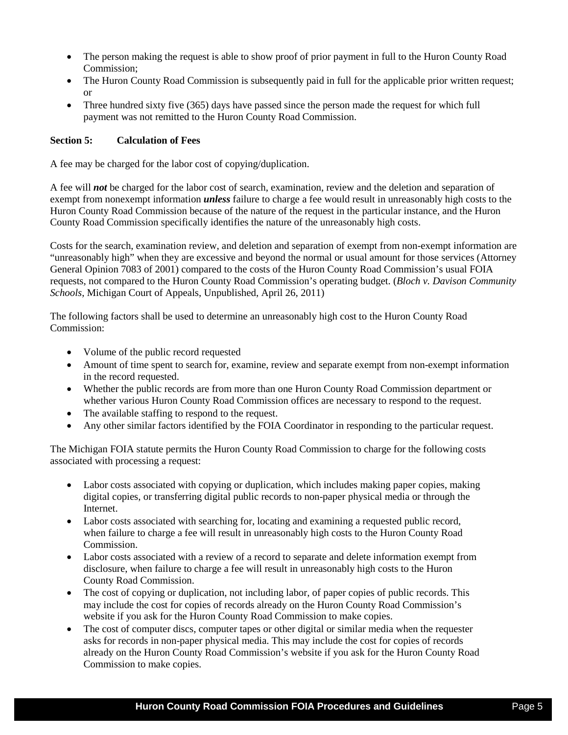- The person making the request is able to show proof of prior payment in full to the Huron County Road Commission;
- The Huron County Road Commission is subsequently paid in full for the applicable prior written request; or
- Three hundred sixty five (365) days have passed since the person made the request for which full payment was not remitted to the Huron County Road Commission.

# **Section 5: Calculation of Fees**

A fee may be charged for the labor cost of copying/duplication.

A fee will *not* be charged for the labor cost of search, examination, review and the deletion and separation of exempt from nonexempt information *unless* failure to charge a fee would result in unreasonably high costs to the Huron County Road Commission because of the nature of the request in the particular instance, and the Huron County Road Commission specifically identifies the nature of the unreasonably high costs.

Costs for the search, examination review, and deletion and separation of exempt from non-exempt information are "unreasonably high" when they are excessive and beyond the normal or usual amount for those services (Attorney General Opinion 7083 of 2001) compared to the costs of the Huron County Road Commission's usual FOIA requests, not compared to the Huron County Road Commission's operating budget. (*Bloch v. Davison Community Schools*, Michigan Court of Appeals, Unpublished, April 26, 2011)

The following factors shall be used to determine an unreasonably high cost to the Huron County Road Commission:

- Volume of the public record requested
- Amount of time spent to search for, examine, review and separate exempt from non-exempt information in the record requested.
- Whether the public records are from more than one Huron County Road Commission department or whether various Huron County Road Commission offices are necessary to respond to the request.
- The available staffing to respond to the request.
- Any other similar factors identified by the FOIA Coordinator in responding to the particular request.

The Michigan FOIA statute permits the Huron County Road Commission to charge for the following costs associated with processing a request:

- Labor costs associated with copying or duplication, which includes making paper copies, making digital copies, or transferring digital public records to non-paper physical media or through the Internet.
- Labor costs associated with searching for, locating and examining a requested public record, when failure to charge a fee will result in unreasonably high costs to the Huron County Road **Commission**
- Labor costs associated with a review of a record to separate and delete information exempt from disclosure, when failure to charge a fee will result in unreasonably high costs to the Huron County Road Commission.
- The cost of copying or duplication, not including labor, of paper copies of public records. This may include the cost for copies of records already on the Huron County Road Commission's website if you ask for the Huron County Road Commission to make copies.
- The cost of computer discs, computer tapes or other digital or similar media when the requester asks for records in non-paper physical media. This may include the cost for copies of records already on the Huron County Road Commission's website if you ask for the Huron County Road Commission to make copies.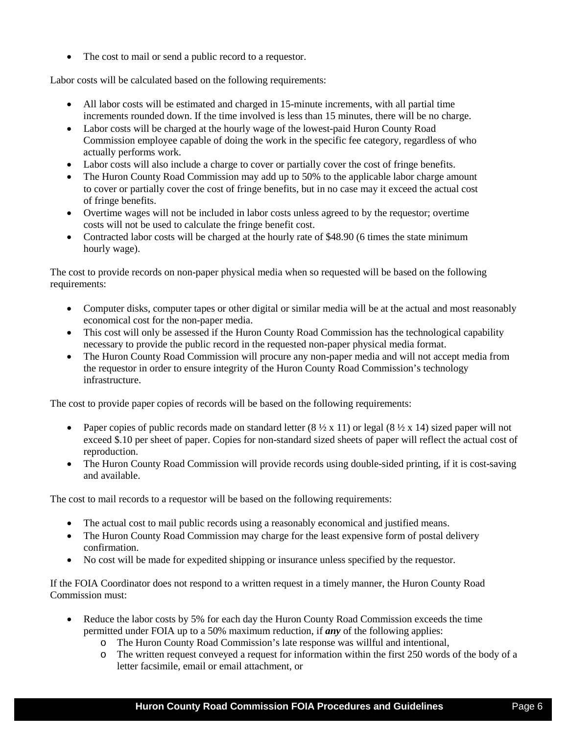• The cost to mail or send a public record to a requestor.

Labor costs will be calculated based on the following requirements:

- All labor costs will be estimated and charged in 15-minute increments, with all partial time increments rounded down. If the time involved is less than 15 minutes, there will be no charge.
- Labor costs will be charged at the hourly wage of the lowest-paid Huron County Road Commission employee capable of doing the work in the specific fee category, regardless of who actually performs work.
- Labor costs will also include a charge to cover or partially cover the cost of fringe benefits.
- The Huron County Road Commission may add up to 50% to the applicable labor charge amount to cover or partially cover the cost of fringe benefits, but in no case may it exceed the actual cost of fringe benefits.
- Overtime wages will not be included in labor costs unless agreed to by the requestor; overtime costs will not be used to calculate the fringe benefit cost.
- Contracted labor costs will be charged at the hourly rate of \$48.90 (6 times the state minimum hourly wage).

The cost to provide records on non-paper physical media when so requested will be based on the following requirements:

- Computer disks, computer tapes or other digital or similar media will be at the actual and most reasonably economical cost for the non-paper media.
- This cost will only be assessed if the Huron County Road Commission has the technological capability necessary to provide the public record in the requested non-paper physical media format.
- The Huron County Road Commission will procure any non-paper media and will not accept media from the requestor in order to ensure integrity of the Huron County Road Commission's technology infrastructure.

The cost to provide paper copies of records will be based on the following requirements:

- Paper copies of public records made on standard letter  $(8 \frac{1}{2} \times 11)$  or legal  $(8 \frac{1}{2} \times 14)$  sized paper will not exceed \$.10 per sheet of paper. Copies for non-standard sized sheets of paper will reflect the actual cost of reproduction.
- The Huron County Road Commission will provide records using double-sided printing, if it is cost-saving and available.

The cost to mail records to a requestor will be based on the following requirements:

- The actual cost to mail public records using a reasonably economical and justified means.
- The Huron County Road Commission may charge for the least expensive form of postal delivery confirmation.
- No cost will be made for expedited shipping or insurance unless specified by the requestor.

If the FOIA Coordinator does not respond to a written request in a timely manner, the Huron County Road Commission must:

- Reduce the labor costs by 5% for each day the Huron County Road Commission exceeds the time permitted under FOIA up to a 50% maximum reduction, if *any* of the following applies:
	- o The Huron County Road Commission's late response was willful and intentional,
	- o The written request conveyed a request for information within the first 250 words of the body of a letter facsimile, email or email attachment, or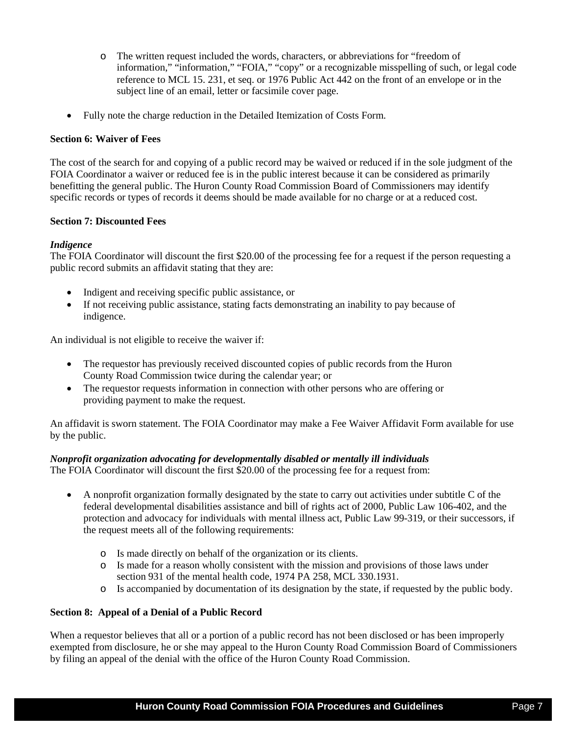- o The written request included the words, characters, or abbreviations for "freedom of information," "information," "FOIA," "copy" or a recognizable misspelling of such, or legal code reference to MCL 15. 231, et seq. or 1976 Public Act 442 on the front of an envelope or in the subject line of an email, letter or facsimile cover page.
- Fully note the charge reduction in the Detailed Itemization of Costs Form.

## **Section 6: Waiver of Fees**

The cost of the search for and copying of a public record may be waived or reduced if in the sole judgment of the FOIA Coordinator a waiver or reduced fee is in the public interest because it can be considered as primarily benefitting the general public. The Huron County Road Commission Board of Commissioners may identify specific records or types of records it deems should be made available for no charge or at a reduced cost.

# **Section 7: Discounted Fees**

# *Indigence*

The FOIA Coordinator will discount the first \$20.00 of the processing fee for a request if the person requesting a public record submits an affidavit stating that they are:

- Indigent and receiving specific public assistance, or
- If not receiving public assistance, stating facts demonstrating an inability to pay because of indigence.

An individual is not eligible to receive the waiver if:

- The requestor has previously received discounted copies of public records from the Huron County Road Commission twice during the calendar year; or
- The requestor requests information in connection with other persons who are offering or providing payment to make the request.

An affidavit is sworn statement. The FOIA Coordinator may make a Fee Waiver Affidavit Form available for use by the public.

# *Nonprofit organization advocating for developmentally disabled or mentally ill individuals*

The FOIA Coordinator will discount the first \$20.00 of the processing fee for a request from:

- A nonprofit organization formally designated by the state to carry out activities under subtitle C of the federal developmental disabilities assistance and bill of rights act of 2000, Public Law 106-402, and the protection and advocacy for individuals with mental illness act, Public Law 99-319, or their successors, if the request meets all of the following requirements:
	- o Is made directly on behalf of the organization or its clients.
	- o Is made for a reason wholly consistent with the mission and provisions of those laws under section 931 of the mental health code, 1974 PA 258, MCL 330.1931.
	- o Is accompanied by documentation of its designation by the state, if requested by the public body.

# **Section 8: Appeal of a Denial of a Public Record**

When a requestor believes that all or a portion of a public record has not been disclosed or has been improperly exempted from disclosure, he or she may appeal to the Huron County Road Commission Board of Commissioners by filing an appeal of the denial with the office of the Huron County Road Commission.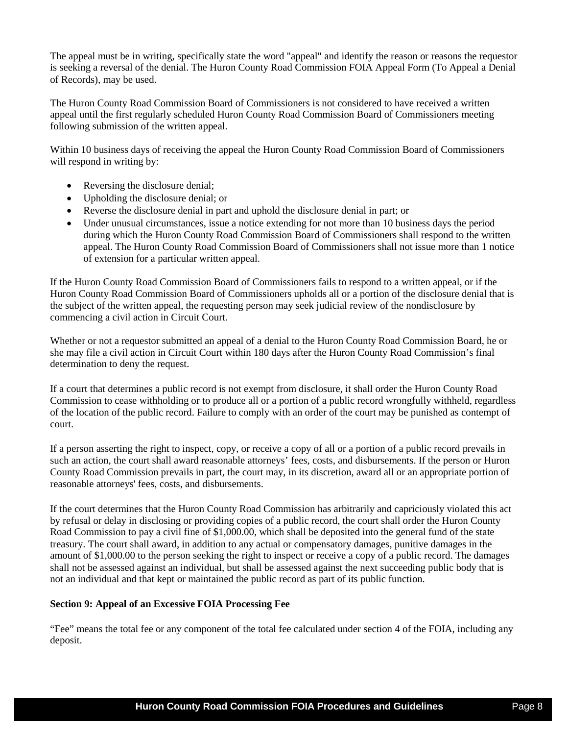The appeal must be in writing, specifically state the word "appeal" and identify the reason or reasons the requestor is seeking a reversal of the denial. The Huron County Road Commission FOIA Appeal Form (To Appeal a Denial of Records), may be used.

The Huron County Road Commission Board of Commissioners is not considered to have received a written appeal until the first regularly scheduled Huron County Road Commission Board of Commissioners meeting following submission of the written appeal.

Within 10 business days of receiving the appeal the Huron County Road Commission Board of Commissioners will respond in writing by:

- Reversing the disclosure denial;
- Upholding the disclosure denial; or
- Reverse the disclosure denial in part and uphold the disclosure denial in part; or
- Under unusual circumstances, issue a notice extending for not more than 10 business days the period during which the Huron County Road Commission Board of Commissioners shall respond to the written appeal. The Huron County Road Commission Board of Commissioners shall not issue more than 1 notice of extension for a particular written appeal.

If the Huron County Road Commission Board of Commissioners fails to respond to a written appeal, or if the Huron County Road Commission Board of Commissioners upholds all or a portion of the disclosure denial that is the subject of the written appeal, the requesting person may seek judicial review of the nondisclosure by commencing a civil action in Circuit Court.

Whether or not a requestor submitted an appeal of a denial to the Huron County Road Commission Board, he or she may file a civil action in Circuit Court within 180 days after the Huron County Road Commission's final determination to deny the request.

If a court that determines a public record is not exempt from disclosure, it shall order the Huron County Road Commission to cease withholding or to produce all or a portion of a public record wrongfully withheld, regardless of the location of the public record. Failure to comply with an order of the court may be punished as contempt of court.

If a person asserting the right to inspect, copy, or receive a copy of all or a portion of a public record prevails in such an action, the court shall award reasonable attorneys' fees, costs, and disbursements. If the person or Huron County Road Commission prevails in part, the court may, in its discretion, award all or an appropriate portion of reasonable attorneys' fees, costs, and disbursements.

If the court determines that the Huron County Road Commission has arbitrarily and capriciously violated this act by refusal or delay in disclosing or providing copies of a public record, the court shall order the Huron County Road Commission to pay a civil fine of \$1,000.00, which shall be deposited into the general fund of the state treasury. The court shall award, in addition to any actual or compensatory damages, punitive damages in the amount of \$1,000.00 to the person seeking the right to inspect or receive a copy of a public record. The damages shall not be assessed against an individual, but shall be assessed against the next succeeding public body that is not an individual and that kept or maintained the public record as part of its public function.

#### **Section 9: Appeal of an Excessive FOIA Processing Fee**

"Fee" means the total fee or any component of the total fee calculated under section 4 of the FOIA, including any deposit.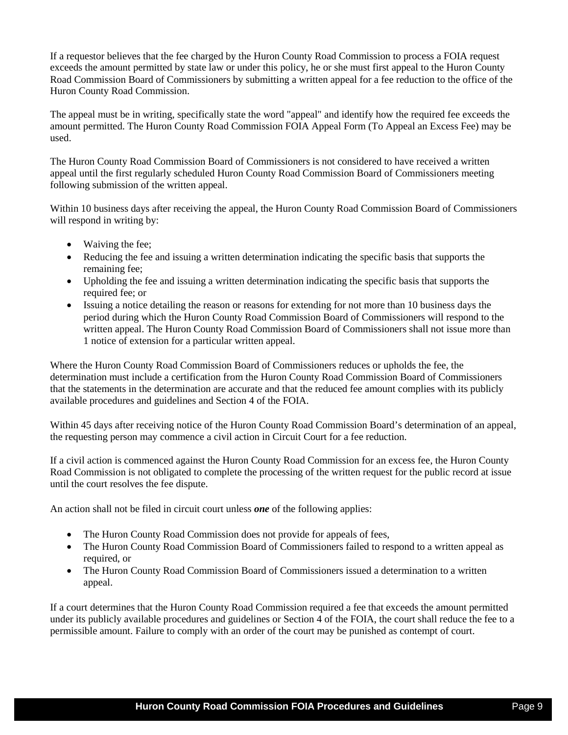If a requestor believes that the fee charged by the Huron County Road Commission to process a FOIA request exceeds the amount permitted by state law or under this policy, he or she must first appeal to the Huron County Road Commission Board of Commissioners by submitting a written appeal for a fee reduction to the office of the Huron County Road Commission.

The appeal must be in writing, specifically state the word "appeal" and identify how the required fee exceeds the amount permitted. The Huron County Road Commission FOIA Appeal Form (To Appeal an Excess Fee) may be used.

The Huron County Road Commission Board of Commissioners is not considered to have received a written appeal until the first regularly scheduled Huron County Road Commission Board of Commissioners meeting following submission of the written appeal.

Within 10 business days after receiving the appeal, the Huron County Road Commission Board of Commissioners will respond in writing by:

- Waiving the fee;
- Reducing the fee and issuing a written determination indicating the specific basis that supports the remaining fee;
- Upholding the fee and issuing a written determination indicating the specific basis that supports the required fee; or
- Issuing a notice detailing the reason or reasons for extending for not more than 10 business days the period during which the Huron County Road Commission Board of Commissioners will respond to the written appeal. The Huron County Road Commission Board of Commissioners shall not issue more than 1 notice of extension for a particular written appeal.

Where the Huron County Road Commission Board of Commissioners reduces or upholds the fee, the determination must include a certification from the Huron County Road Commission Board of Commissioners that the statements in the determination are accurate and that the reduced fee amount complies with its publicly available procedures and guidelines and Section 4 of the FOIA.

Within 45 days after receiving notice of the Huron County Road Commission Board's determination of an appeal, the requesting person may commence a civil action in Circuit Court for a fee reduction.

If a civil action is commenced against the Huron County Road Commission for an excess fee, the Huron County Road Commission is not obligated to complete the processing of the written request for the public record at issue until the court resolves the fee dispute.

An action shall not be filed in circuit court unless *one* of the following applies:

- The Huron County Road Commission does not provide for appeals of fees,
- The Huron County Road Commission Board of Commissioners failed to respond to a written appeal as required, or
- The Huron County Road Commission Board of Commissioners issued a determination to a written appeal.

If a court determines that the Huron County Road Commission required a fee that exceeds the amount permitted under its publicly available procedures and guidelines or Section 4 of the FOIA, the court shall reduce the fee to a permissible amount. Failure to comply with an order of the court may be punished as contempt of court.